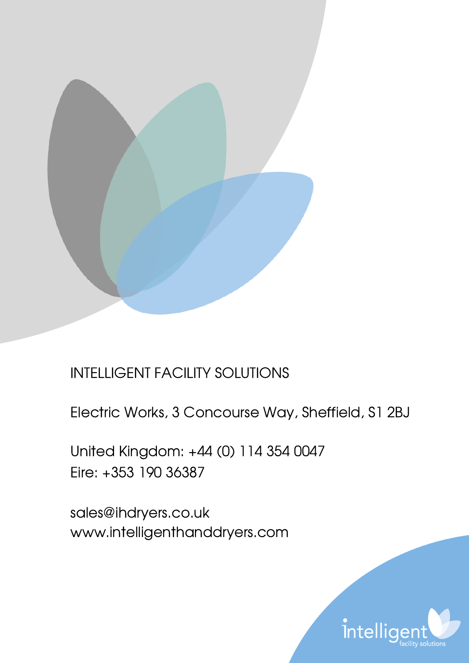

# INTELLIGENT FACILITY SOLUTIONS

Electric Works, 3 Concourse Way, Sheffield, S1 2BJ

United Kingdom: +44 (0) 114 354 0047 Eire: +353 190 36387

sales@ihdryers.co.uk www.intelligenthanddryers.com